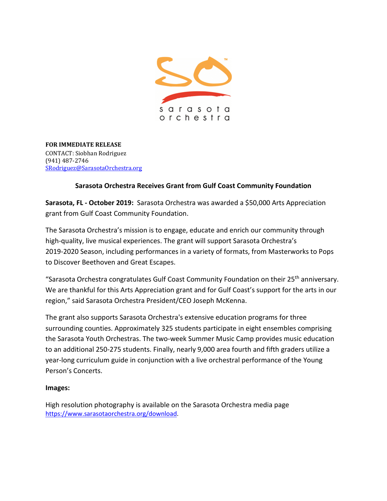

**FOR IMMEDIATE RELEASE** CONTACT: Siobhan Rodriguez (941) 487-2746 [SRodriguez@SarasotaOrchestra.org](mailto:SRodriguez@SarasotaOrchestra.org)

## **Sarasota Orchestra Receives Grant from Gulf Coast Community Foundation**

**Sarasota, FL - October 2019:** Sarasota Orchestra was awarded a \$50,000 Arts Appreciation grant from Gulf Coast Community Foundation.

The Sarasota Orchestra's mission is to engage, educate and enrich our community through high-quality, live musical experiences. The grant will support Sarasota Orchestra's 2019-2020 Season, including performances in a variety of formats, from Masterworks to Pops to Discover Beethoven and Great Escapes.

"Sarasota Orchestra congratulates Gulf Coast Community Foundation on their 25<sup>th</sup> anniversary. We are thankful for this Arts Appreciation grant and for Gulf Coast's support for the arts in our region," said Sarasota Orchestra President/CEO Joseph McKenna.

The grant also supports Sarasota Orchestra's extensive education programs for three surrounding counties. Approximately 325 students participate in eight ensembles comprising the Sarasota Youth Orchestras. The two-week Summer Music Camp provides music education to an additional 250-275 students. Finally, nearly 9,000 area fourth and fifth graders utilize a year-long curriculum guide in conjunction with a live orchestral performance of the Young Person's Concerts.

## **Images:**

High resolution photography is available on the Sarasota Orchestra media page [https://www.sarasotaorchestra.org/download.](https://www.sarasotaorchestra.org/download)